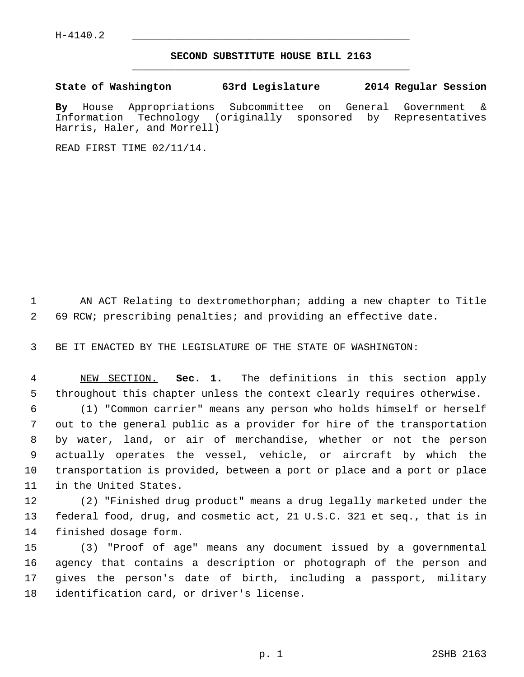## **SECOND SUBSTITUTE HOUSE BILL 2163** \_\_\_\_\_\_\_\_\_\_\_\_\_\_\_\_\_\_\_\_\_\_\_\_\_\_\_\_\_\_\_\_\_\_\_\_\_\_\_\_\_\_\_\_\_

## **State of Washington 63rd Legislature 2014 Regular Session**

**By** House Appropriations Subcommittee on General Government & Information Technology (originally sponsored by Representatives Harris, Haler, and Morrell)

READ FIRST TIME 02/11/14.

 1 AN ACT Relating to dextromethorphan; adding a new chapter to Title 2 69 RCW; prescribing penalties; and providing an effective date.

3 BE IT ENACTED BY THE LEGISLATURE OF THE STATE OF WASHINGTON:

 4 NEW SECTION. **Sec. 1.** The definitions in this section apply 5 throughout this chapter unless the context clearly requires otherwise.

 6 (1) "Common carrier" means any person who holds himself or herself 7 out to the general public as a provider for hire of the transportation 8 by water, land, or air of merchandise, whether or not the person 9 actually operates the vessel, vehicle, or aircraft by which the 10 transportation is provided, between a port or place and a port or place 11 in the United States.

12 (2) "Finished drug product" means a drug legally marketed under the 13 federal food, drug, and cosmetic act, 21 U.S.C. 321 et seq., that is in 14 finished dosage form.

15 (3) "Proof of age" means any document issued by a governmental 16 agency that contains a description or photograph of the person and 17 gives the person's date of birth, including a passport, military 18 identification card, or driver's license.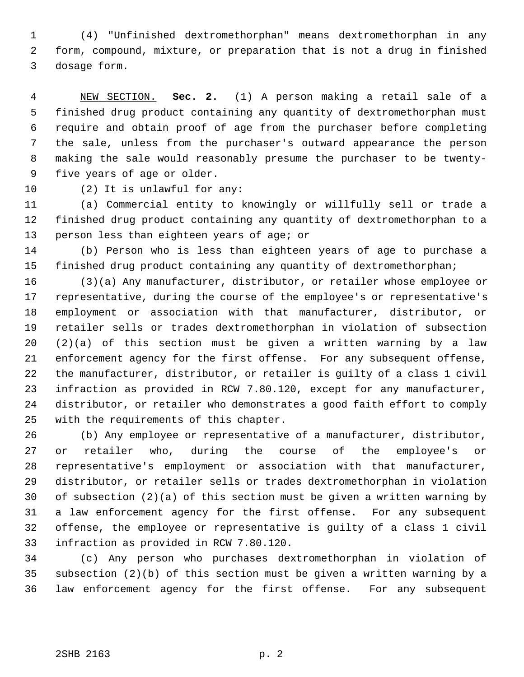1 (4) "Unfinished dextromethorphan" means dextromethorphan in any 2 form, compound, mixture, or preparation that is not a drug in finished 3 dosage form.

 4 NEW SECTION. **Sec. 2.** (1) A person making a retail sale of a 5 finished drug product containing any quantity of dextromethorphan must 6 require and obtain proof of age from the purchaser before completing 7 the sale, unless from the purchaser's outward appearance the person 8 making the sale would reasonably presume the purchaser to be twenty- 9 five years of age or older.

10 (2) It is unlawful for any:

11 (a) Commercial entity to knowingly or willfully sell or trade a 12 finished drug product containing any quantity of dextromethorphan to a 13 person less than eighteen years of age; or

14 (b) Person who is less than eighteen years of age to purchase a 15 finished drug product containing any quantity of dextromethorphan;

16 (3)(a) Any manufacturer, distributor, or retailer whose employee or 17 representative, during the course of the employee's or representative's 18 employment or association with that manufacturer, distributor, or 19 retailer sells or trades dextromethorphan in violation of subsection 20 (2)(a) of this section must be given a written warning by a law 21 enforcement agency for the first offense. For any subsequent offense, 22 the manufacturer, distributor, or retailer is guilty of a class 1 civil 23 infraction as provided in RCW 7.80.120, except for any manufacturer, 24 distributor, or retailer who demonstrates a good faith effort to comply 25 with the requirements of this chapter.

26 (b) Any employee or representative of a manufacturer, distributor, 27 or retailer who, during the course of the employee's or 28 representative's employment or association with that manufacturer, 29 distributor, or retailer sells or trades dextromethorphan in violation 30 of subsection (2)(a) of this section must be given a written warning by 31 a law enforcement agency for the first offense. For any subsequent 32 offense, the employee or representative is guilty of a class 1 civil 33 infraction as provided in RCW 7.80.120.

34 (c) Any person who purchases dextromethorphan in violation of 35 subsection (2)(b) of this section must be given a written warning by a 36 law enforcement agency for the first offense. For any subsequent